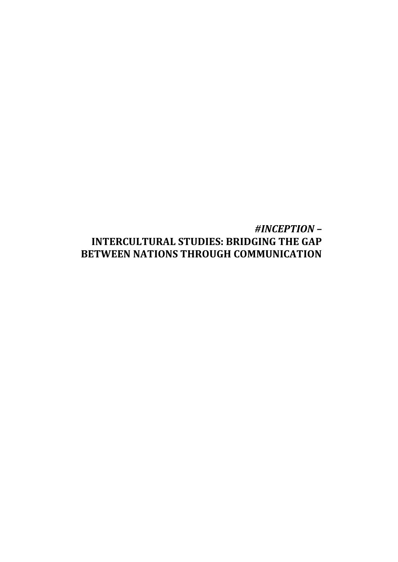# *#INCEPTION –* **INTERCULTURAL STUDIES: BRIDGING THE GAP BETWEEN NATIONS THROUGH COMMUNICATION**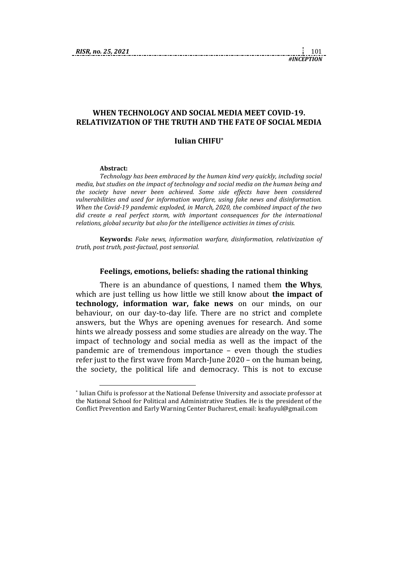## **WHEN TECHNOLOGY AND SOCIAL MEDIA MEET COVID-19. RELATIVIZATION OF THE TRUTH AND THE FATE OF SOCIAL MEDIA**

## **Iulian CHIFU\***

#### **Abstract:**

1

*Technology has been embraced by the human kind very quickly, including social media, but studies on the impact of technology and social media on the human being and the society have never been achieved. Some side effects have been considered vulnerabilities and used for information warfare, using fake news and disinformation. When the Covid-19 pandemic exploded, in March, 2020, the combined impact of the two did create a real perfect storm, with important consequences for the international relations, global security but also for the intelligence activities in times of crisis.*

**Keywords:** *Fake news, information warfare, disinformation, relativization of truth, post truth, post-factual, post sensorial.*

#### **Feelings, emotions, beliefs: shading the rational thinking**

There is an abundance of questions, I named them **the Whys**, which are just telling us how little we still know about **the impact of technology, information war, fake news** on our minds, on our behaviour, on our day-to-day life. There are no strict and complete answers, but the Whys are opening avenues for research. And some hints we already possess and some studies are already on the way. The impact of technology and social media as well as the impact of the pandemic are of tremendous importance – even though the studies refer just to the first wave from March-June 2020 – on the human being, the society, the political life and democracy. This is not to excuse

<sup>\*</sup> Iulian Chifu is professor at the National Defense University and associate professor at the National School for Political and Administrative Studies. He is the president of the Conflict Prevention and Early Warning Center Bucharest, email: keafuyul@gmail.com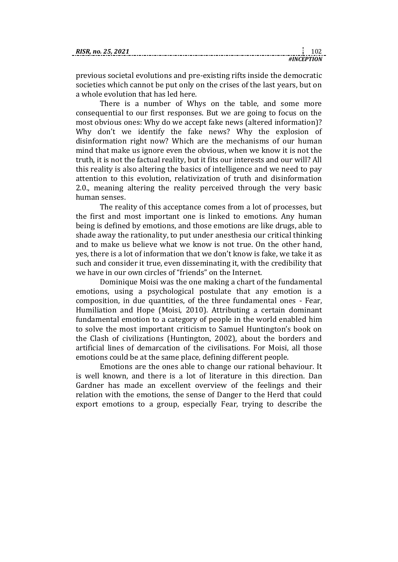previous societal evolutions and pre-existing rifts inside the democratic societies which cannot be put only on the crises of the last years, but on a whole evolution that has led here.

There is a number of Whys on the table, and some more consequential to our first responses. But we are going to focus on the most obvious ones: Why do we accept fake news (altered information)? Why don't we identify the fake news? Why the explosion of disinformation right now? Which are the mechanisms of our human mind that make us ignore even the obvious, when we know it is not the truth, it is not the factual reality, but it fits our interests and our will? All this reality is also altering the basics of intelligence and we need to pay attention to this evolution, relativization of truth and disinformation 2.0., meaning altering the reality perceived through the very basic human senses.

The reality of this acceptance comes from a lot of processes, but the first and most important one is linked to emotions. Any human being is defined by emotions, and those emotions are like drugs, able to shade away the rationality, to put under anesthesia our critical thinking and to make us believe what we know is not true. On the other hand, yes, there is a lot of information that we don't know is fake, we take it as such and consider it true, even disseminating it, with the credibility that we have in our own circles of "friends" on the Internet.

Dominique Moisi was the one making a chart of the fundamental emotions, using a psychological postulate that any emotion is a composition, in due quantities, of the three fundamental ones - Fear, Humiliation and Hope (Moisi, 2010). Attributing a certain dominant fundamental emotion to a category of people in the world enabled him to solve the most important criticism to Samuel Huntington's book on the Clash of civilizations (Huntington, 2002), about the borders and artificial lines of demarcation of the civilisations. For Moisi, all those emotions could be at the same place, defining different people.

Emotions are the ones able to change our rational behaviour. It is well known, and there is a lot of literature in this direction. Dan Gardner has made an excellent overview of the feelings and their relation with the emotions, the sense of Danger to the Herd that could export emotions to a group, especially Fear, trying to describe the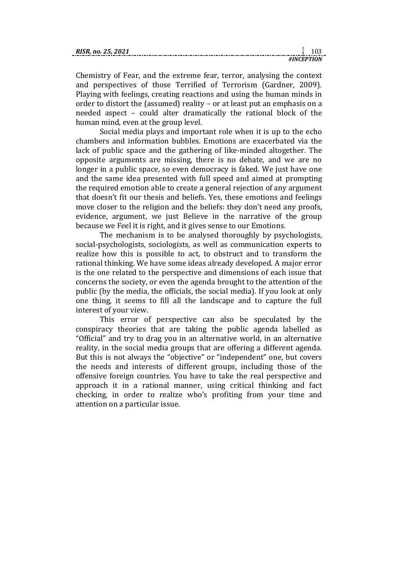Chemistry of Fear, and the extreme fear, terror, analysing the context and perspectives of those Terrified of Terrorism (Gardner, 2009). Playing with feelings, creating reactions and using the human minds in order to distort the (assumed) reality – or at least put an emphasis on a needed aspect – could alter dramatically the rational block of the human mind, even at the group level.

Social media plays and important role when it is up to the echo chambers and information bubbles. Emotions are exacerbated via the lack of public space and the gathering of like-minded altogether. The opposite arguments are missing, there is no debate, and we are no longer in a public space, so even democracy is faked. We just have one and the same idea presented with full speed and aimed at prompting the required emotion able to create a general rejection of any argument that doesn't fit our thesis and beliefs. Yes, these emotions and feelings move closer to the religion and the beliefs: they don't need any proofs, evidence, argument, we just Believe in the narrative of the group because we Feel it is right, and it gives sense to our Emotions.

The mechanism is to be analysed thoroughly by psychologists, social-psychologists, sociologists, as well as communication experts to realize how this is possible to act, to obstruct and to transform the rational thinking. We have some ideas already developed. A major error is the one related to the perspective and dimensions of each issue that concerns the society, or even the agenda brought to the attention of the public (by the media, the officials, the social media). If you look at only one thing, it seems to fill all the landscape and to capture the full interest of your view.

This error of perspective can also be speculated by the conspiracy theories that are taking the public agenda labelled as "Official" and try to drag you in an alternative world, in an alternative reality, in the social media groups that are offering a different agenda. But this is not always the "objective" or "independent" one, but covers the needs and interests of different groups, including those of the offensive foreign countries. You have to take the real perspective and approach it in a rational manner, using critical thinking and fact checking, in order to realize who's profiting from your time and attention on a particular issue.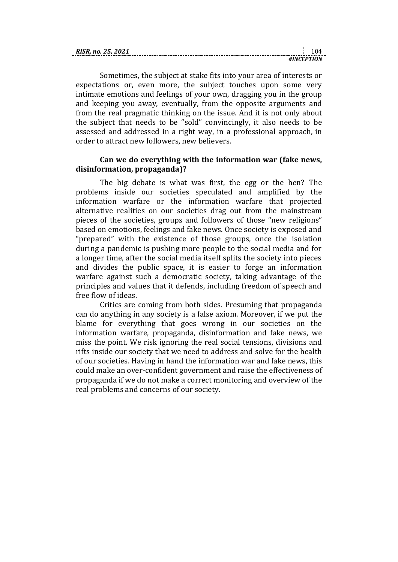| <b>RIS</b> |  |
|------------|--|
|            |  |

Sometimes, the subject at stake fits into your area of interests or expectations or, even more, the subject touches upon some very intimate emotions and feelings of your own, dragging you in the group and keeping you away, eventually, from the opposite arguments and from the real pragmatic thinking on the issue. And it is not only about the subject that needs to be "sold" convincingly, it also needs to be assessed and addressed in a right way, in a professional approach, in order to attract new followers, new believers.

## **Can we do everything with the information war (fake news, disinformation, propaganda)?**

The big debate is what was first, the egg or the hen? The problems inside our societies speculated and amplified by the information warfare or the information warfare that projected alternative realities on our societies drag out from the mainstream pieces of the societies, groups and followers of those "new religions" based on emotions, feelings and fake news. Once society is exposed and "prepared" with the existence of those groups, once the isolation during a pandemic is pushing more people to the social media and for a longer time, after the social media itself splits the society into pieces and divides the public space, it is easier to forge an information warfare against such a democratic society, taking advantage of the principles and values that it defends, including freedom of speech and free flow of ideas.

Critics are coming from both sides. Presuming that propaganda can do anything in any society is a false axiom. Moreover, if we put the blame for everything that goes wrong in our societies on the information warfare, propaganda, disinformation and fake news, we miss the point. We risk ignoring the real social tensions, divisions and rifts inside our society that we need to address and solve for the health of our societies. Having in hand the information war and fake news, this could make an over-confident government and raise the effectiveness of propaganda if we do not make a correct monitoring and overview of the real problems and concerns of our society.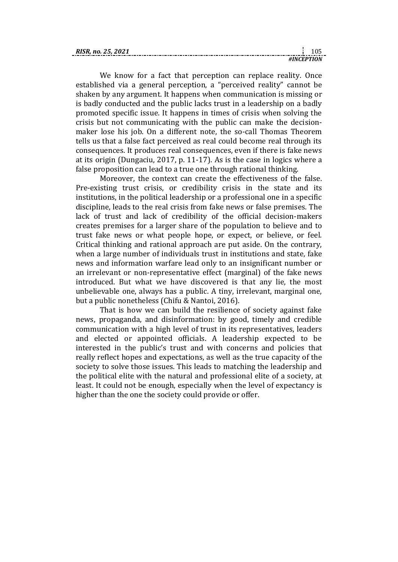| RISR<br>25.<br>no. |      |  |
|--------------------|------|--|
|                    | ±IN' |  |

We know for a fact that perception can replace reality. Once established via a general perception, a "perceived reality" cannot be shaken by any argument. It happens when communication is missing or is badly conducted and the public lacks trust in a leadership on a badly promoted specific issue. It happens in times of crisis when solving the crisis but not communicating with the public can make the decisionmaker lose his job. On a different note, the so-call Thomas Theorem tells us that a false fact perceived as real could become real through its consequences. It produces real consequences, even if there is fake news at its origin (Dungaciu, 2017, p. 11-17). As is the case in logics where a false proposition can lead to a true one through rational thinking.

Moreover, the context can create the effectiveness of the false. Pre-existing trust crisis, or credibility crisis in the state and its institutions, in the political leadership or a professional one in a specific discipline, leads to the real crisis from fake news or false premises. The lack of trust and lack of credibility of the official decision-makers creates premises for a larger share of the population to believe and to trust fake news or what people hope, or expect, or believe, or feel. Critical thinking and rational approach are put aside. On the contrary, when a large number of individuals trust in institutions and state, fake news and information warfare lead only to an insignificant number or an irrelevant or non-representative effect (marginal) of the fake news introduced. But what we have discovered is that any lie, the most unbelievable one, always has a public. A tiny, irrelevant, marginal one, but a public nonetheless (Chifu & Nantoi, 2016).

That is how we can build the resilience of society against fake news, propaganda, and disinformation: by good, timely and credible communication with a high level of trust in its representatives, leaders and elected or appointed officials. A leadership expected to be interested in the public's trust and with concerns and policies that really reflect hopes and expectations, as well as the true capacity of the society to solve those issues. This leads to matching the leadership and the political elite with the natural and professional elite of a society, at least. It could not be enough, especially when the level of expectancy is higher than the one the society could provide or offer.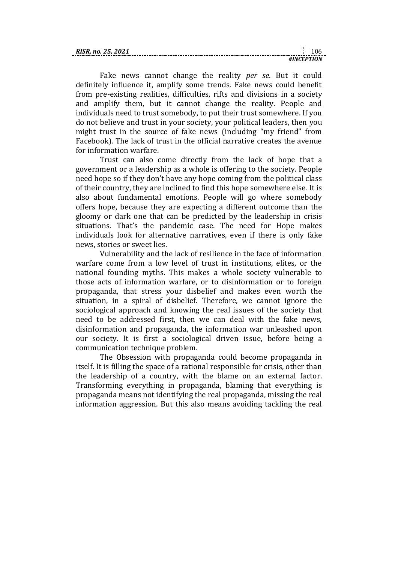| <b>RIS</b> |  |
|------------|--|
|            |  |

Fake news cannot change the reality *per se*. But it could definitely influence it, amplify some trends. Fake news could benefit from pre-existing realities, difficulties, rifts and divisions in a society and amplify them, but it cannot change the reality. People and individuals need to trust somebody, to put their trust somewhere. If you do not believe and trust in your society, your political leaders, then you might trust in the source of fake news (including "my friend" from Facebook). The lack of trust in the official narrative creates the avenue for information warfare.

Trust can also come directly from the lack of hope that a government or a leadership as a whole is offering to the society. People need hope so if they don't have any hope coming from the political class of their country, they are inclined to find this hope somewhere else. It is also about fundamental emotions. People will go where somebody offers hope, because they are expecting a different outcome than the gloomy or dark one that can be predicted by the leadership in crisis situations. That's the pandemic case. The need for Hope makes individuals look for alternative narratives, even if there is only fake news, stories or sweet lies.

Vulnerability and the lack of resilience in the face of information warfare come from a low level of trust in institutions, elites, or the national founding myths. This makes a whole society vulnerable to those acts of information warfare, or to disinformation or to foreign propaganda, that stress your disbelief and makes even worth the situation, in a spiral of disbelief. Therefore, we cannot ignore the sociological approach and knowing the real issues of the society that need to be addressed first, then we can deal with the fake news, disinformation and propaganda, the information war unleashed upon our society. It is first a sociological driven issue, before being a communication technique problem.

The Obsession with propaganda could become propaganda in itself. It is filling the space of a rational responsible for crisis, other than the leadership of a country, with the blame on an external factor. Transforming everything in propaganda, blaming that everything is propaganda means not identifying the real propaganda, missing the real information aggression. But this also means avoiding tackling the real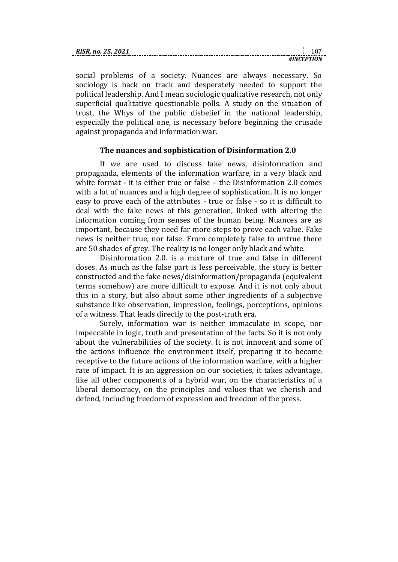| RISR. no. 25, 2021 |  |
|--------------------|--|
|                    |  |

social problems of a society. Nuances are always necessary. So sociology is back on track and desperately needed to support the political leadership. And I mean sociologic qualitative research, not only superficial qualitative questionable polls. A study on the situation of trust, the Whys of the public disbelief in the national leadership, especially the political one, is necessary before beginning the crusade against propaganda and information war.

## **The nuances and sophistication of Disinformation 2.0**

If we are used to discuss fake news, disinformation and propaganda, elements of the information warfare, in a very black and white format - it is either true or false – the Disinformation 2.0 comes with a lot of nuances and a high degree of sophistication. It is no longer easy to prove each of the attributes - true or false - so it is difficult to deal with the fake news of this generation, linked with altering the information coming from senses of the human being. Nuances are as important, because they need far more steps to prove each value. Fake news is neither true, nor false. From completely false to untrue there are 50 shades of grey. The reality is no longer only black and white.

Disinformation 2.0. is a mixture of true and false in different doses. As much as the false part is less perceivable, the story is better constructed and the fake news/disinformation/propaganda (equivalent terms somehow) are more difficult to expose. And it is not only about this in a story, but also about some other ingredients of a subjective substance like observation, impression, feelings, perceptions, opinions of a witness. That leads directly to the post-truth era.

Surely, information war is neither immaculate in scope, nor impeccable in logic, truth and presentation of the facts. So it is not only about the vulnerabilities of the society. It is not innocent and some of the actions influence the environment itself, preparing it to become receptive to the future actions of the information warfare, with a higher rate of impact. It is an aggression on our societies, it takes advantage, like all other components of a hybrid war, on the characteristics of a liberal democracy, on the principles and values that we cherish and defend, including freedom of expression and freedom of the press.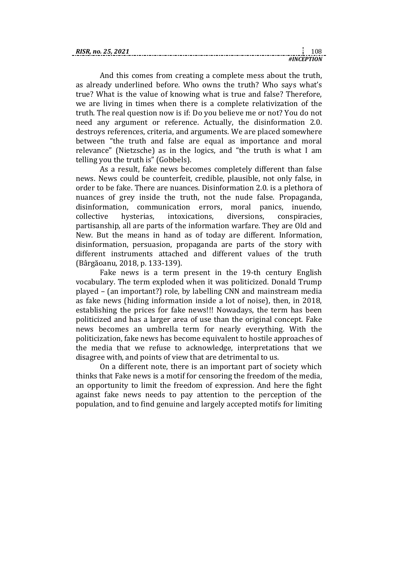| <b>RISR</b><br>25.<br>$n_{0}$ |      |  |
|-------------------------------|------|--|
|                               | #1N/ |  |

And this comes from creating a complete mess about the truth, as already underlined before. Who owns the truth? Who says what's true? What is the value of knowing what is true and false? Therefore, we are living in times when there is a complete relativization of the truth. The real question now is if: Do you believe me or not? You do not need any argument or reference. Actually, the disinformation 2.0. destroys references, criteria, and arguments. We are placed somewhere between "the truth and false are equal as importance and moral relevance" (Nietzsche) as in the logics, and "the truth is what I am telling you the truth is" (Gobbels).

As a result, fake news becomes completely different than false news. News could be counterfeit, credible, plausible, not only false, in order to be fake. There are nuances. Disinformation 2.0. is a plethora of nuances of grey inside the truth, not the nude false. Propaganda, disinformation, communication errors, moral panics, inuendo, collective hysterias, intoxications, diversions, conspiracies, partisanship, all are parts of the information warfare. They are Old and New. But the means in hand as of today are different. Information, disinformation, persuasion, propaganda are parts of the story with different instruments attached and different values of the truth (Bârgăoanu, 2018, p. 133-139).

Fake news is a term present in the 19-th century English vocabulary. The term exploded when it was politicized. Donald Trump played – (an important?) role, by labelling CNN and mainstream media as fake news (hiding information inside a lot of noise), then, in 2018, establishing the prices for fake news!!! Nowadays, the term has been politicized and has a larger area of use than the original concept. Fake news becomes an umbrella term for nearly everything. With the politicization, fake news has become equivalent to hostile approaches of the media that we refuse to acknowledge, interpretations that we disagree with, and points of view that are detrimental to us.

On a different note, there is an important part of society which thinks that Fake news is a motif for censoring the freedom of the media, an opportunity to limit the freedom of expression. And here the fight against fake news needs to pay attention to the perception of the population, and to find genuine and largely accepted motifs for limiting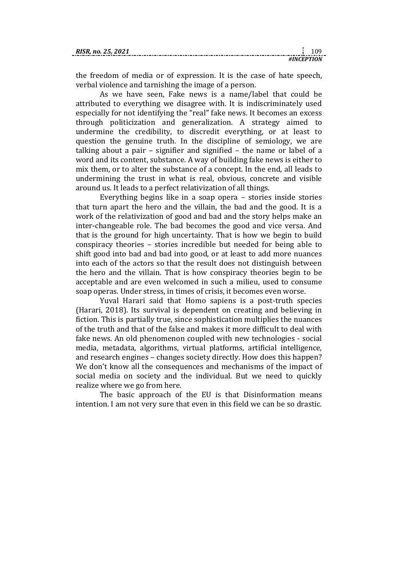the freedom of media or of expression. It is the case of hate speech, verbal violence and tarnishing the image of a person.

As we have seen, Fake news is a name/label that could be attributed to everything we disagree with. It is indiscriminately used especially for not identifying the "real" fake news. It becomes an excess through politicization and generalization. A strategy aimed to undermine the credibility, to discredit everything, or at least to question the genuine truth. In the discipline of semiology, we are talking about a pair – signifier and signified – the name or label of a word and its content, substance. A way of building fake news is either to mix them, or to alter the substance of a concept. In the end, all leads to undermining the trust in what is real, obvious, concrete and visible around us. It leads to a perfect relativization of all things.

Everything begins like in a soap opera – stories inside stories that turn apart the hero and the villain, the bad and the good. It is a work of the relativization of good and bad and the story helps make an inter-changeable role. The bad becomes the good and vice versa. And that is the ground for high uncertainty. That is how we begin to build conspiracy theories – stories incredible but needed for being able to shift good into bad and bad into good, or at least to add more nuances into each of the actors so that the result does not distinguish between the hero and the villain. That is how conspiracy theories begin to be acceptable and are even welcomed in such a milieu, used to consume soap operas. Under stress, in times of crisis, it becomes even worse.

Yuval Harari said that Homo sapiens is a post-truth species (Harari, 2018). Its survival is dependent on creating and believing in fiction. This is partially true, since sophistication multiplies the nuances of the truth and that of the false and makes it more difficult to deal with fake news. An old phenomenon coupled with new technologies - social media, metadata, algorithms, virtual platforms, artificial intelligence, and research engines – changes society directly. How does this happen? We don't know all the consequences and mechanisms of the impact of social media on society and the individual. But we need to quickly realize where we go from here.

The basic approach of the EU is that Disinformation means intention. I am not very sure that even in this field we can be so drastic.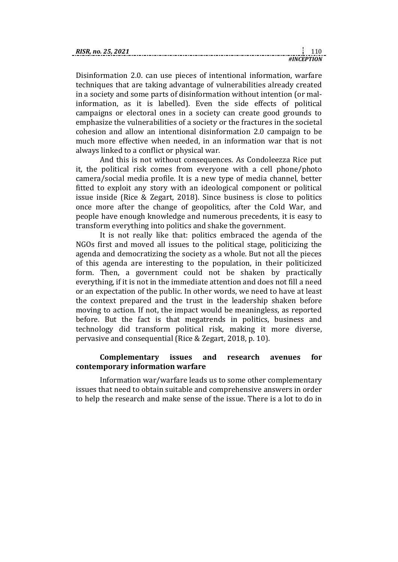|  |  |  |  |  |  |  |            | -110 |  |
|--|--|--|--|--|--|--|------------|------|--|
|  |  |  |  |  |  |  | #INCEPTION |      |  |

Disinformation 2.0. can use pieces of intentional information, warfare techniques that are taking advantage of vulnerabilities already created in a society and some parts of disinformation without intention (or malinformation, as it is labelled). Even the side effects of political campaigns or electoral ones in a society can create good grounds to emphasize the vulnerabilities of a society or the fractures in the societal cohesion and allow an intentional disinformation 2.0 campaign to be much more effective when needed, in an information war that is not always linked to a conflict or physical war.

And this is not without consequences. As Condoleezza Rice put it, the political risk comes from everyone with a cell phone/photo camera/social media profile. It is a new type of media channel, better fitted to exploit any story with an ideological component or political issue inside (Rice & Zegart, 2018). Since business is close to politics once more after the change of geopolitics, after the Cold War, and people have enough knowledge and numerous precedents, it is easy to transform everything into politics and shake the government.

It is not really like that: politics embraced the agenda of the NGOs first and moved all issues to the political stage, politicizing the agenda and democratizing the society as a whole. But not all the pieces of this agenda are interesting to the population, in their politicized form. Then, a government could not be shaken by practically everything, if it is not in the immediate attention and does not fill a need or an expectation of the public. In other words, we need to have at least the context prepared and the trust in the leadership shaken before moving to action. If not, the impact would be meaningless, as reported before. But the fact is that megatrends in politics, business and technology did transform political risk, making it more diverse, pervasive and consequential (Rice & Zegart, 2018, p. 10).

## **Complementary issues and research avenues for contemporary information warfare**

Information war/warfare leads us to some other complementary issues that need to obtain suitable and comprehensive answers in order to help the research and make sense of the issue. There is a lot to do in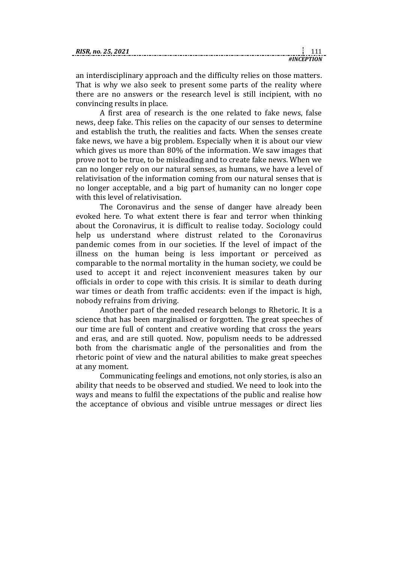| RISR. no. 25, 2021 |  |  |
|--------------------|--|--|
|                    |  |  |

an interdisciplinary approach and the difficulty relies on those matters. That is why we also seek to present some parts of the reality where there are no answers or the research level is still incipient, with no convincing results in place.

A first area of research is the one related to fake news, false news, deep fake. This relies on the capacity of our senses to determine and establish the truth, the realities and facts. When the senses create fake news, we have a big problem. Especially when it is about our view which gives us more than 80% of the information. We saw images that prove not to be true, to be misleading and to create fake news. When we can no longer rely on our natural senses, as humans, we have a level of relativisation of the information coming from our natural senses that is no longer acceptable, and a big part of humanity can no longer cope with this level of relativisation.

The Coronavirus and the sense of danger have already been evoked here. To what extent there is fear and terror when thinking about the Coronavirus, it is difficult to realise today. Sociology could help us understand where distrust related to the Coronavirus pandemic comes from in our societies. If the level of impact of the illness on the human being is less important or perceived as comparable to the normal mortality in the human society, we could be used to accept it and reject inconvenient measures taken by our officials in order to cope with this crisis. It is similar to death during war times or death from traffic accidents: even if the impact is high, nobody refrains from driving.

Another part of the needed research belongs to Rhetoric. It is a science that has been marginalised or forgotten. The great speeches of our time are full of content and creative wording that cross the years and eras, and are still quoted. Now, populism needs to be addressed both from the charismatic angle of the personalities and from the rhetoric point of view and the natural abilities to make great speeches at any moment.

Communicating feelings and emotions, not only stories, is also an ability that needs to be observed and studied. We need to look into the ways and means to fulfil the expectations of the public and realise how the acceptance of obvious and visible untrue messages or direct lies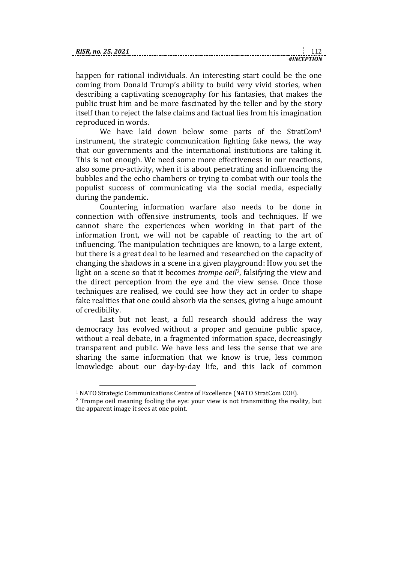| <b>RISR</b><br>R. no. 25. 2021 |  |
|--------------------------------|--|
|                                |  |

happen for rational individuals. An interesting start could be the one coming from Donald Trump's ability to build very vivid stories, when describing a captivating scenography for his fantasies, that makes the public trust him and be more fascinated by the teller and by the story itself than to reject the false claims and factual lies from his imagination reproduced in words.

We have laid down below some parts of the StratCom<sup>1</sup> instrument, the strategic communication fighting fake news, the way that our governments and the international institutions are taking it. This is not enough. We need some more effectiveness in our reactions, also some pro-activity, when it is about penetrating and influencing the bubbles and the echo chambers or trying to combat with our tools the populist success of communicating via the social media, especially during the pandemic.

Countering information warfare also needs to be done in connection with offensive instruments, tools and techniques. If we cannot share the experiences when working in that part of the information front, we will not be capable of reacting to the art of influencing. The manipulation techniques are known, to a large extent, but there is a great deal to be learned and researched on the capacity of changing the shadows in a scene in a given playground: How you set the light on a scene so that it becomes *trompe oeil*2, falsifying the view and the direct perception from the eye and the view sense. Once those techniques are realised, we could see how they act in order to shape fake realities that one could absorb via the senses, giving a huge amount of credibility.

Last but not least, a full research should address the way democracy has evolved without a proper and genuine public space, without a real debate, in a fragmented information space, decreasingly transparent and public. We have less and less the sense that we are sharing the same information that we know is true, less common knowledge about our day-by-day life, and this lack of common

1

<sup>&</sup>lt;sup>1</sup> NATO Strategic Communications Centre of Excellence (NATO StratCom COE).

<sup>2</sup> Trompe oeil meaning fooling the eye: your view is not transmitting the reality, but the apparent image it sees at one point.